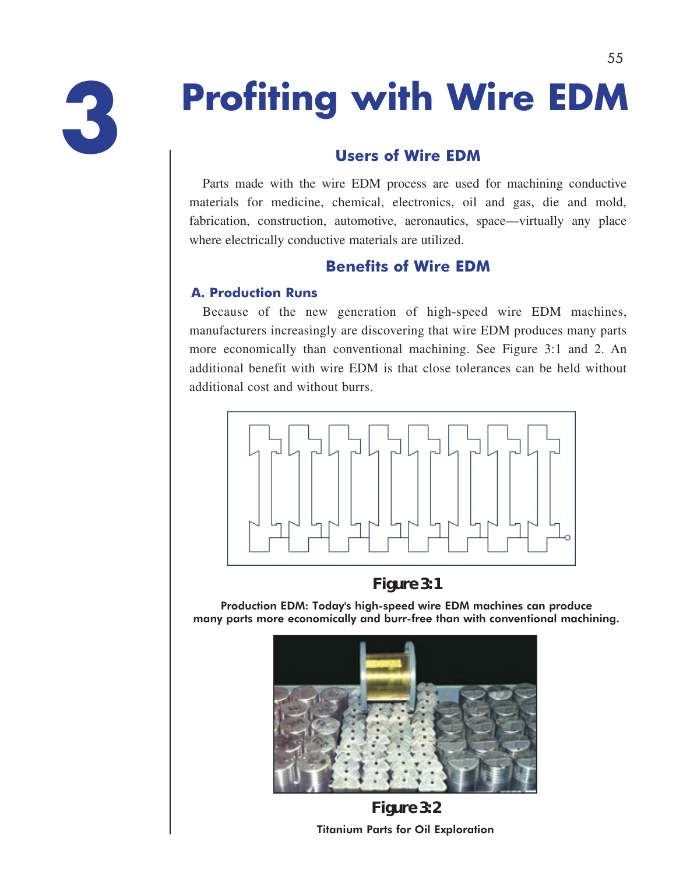

# **Profiting with Wire EDM**

# **Users of Wire EDM**

Parts made with the wire EDM process are used for machining conductive materials for medicine, chemical, electronics, oil and gas, die and mold, fabrication, construction, automotive, aeronautics, space—virtually any place where electrically conductive materials are utilized.

# **Benefits of Wire EDM**

# **A. Production Runs**

Because of the new generation of high-speed wire EDM machines, manufacturers increasingly are discovering that wire EDM produces many parts more economically than conventional machining. See Figure 3:1 and 2. An additional benefit with wire EDM is that close tolerances can be held without additional cost and without burrs.



**Figure 3:1** 

Production EDM: Today's high-speed wire EDM machines can produce many parts more economically and burr-free than with conventional machining.



**Figure 3:2** Titanium Parts for Oil Exploration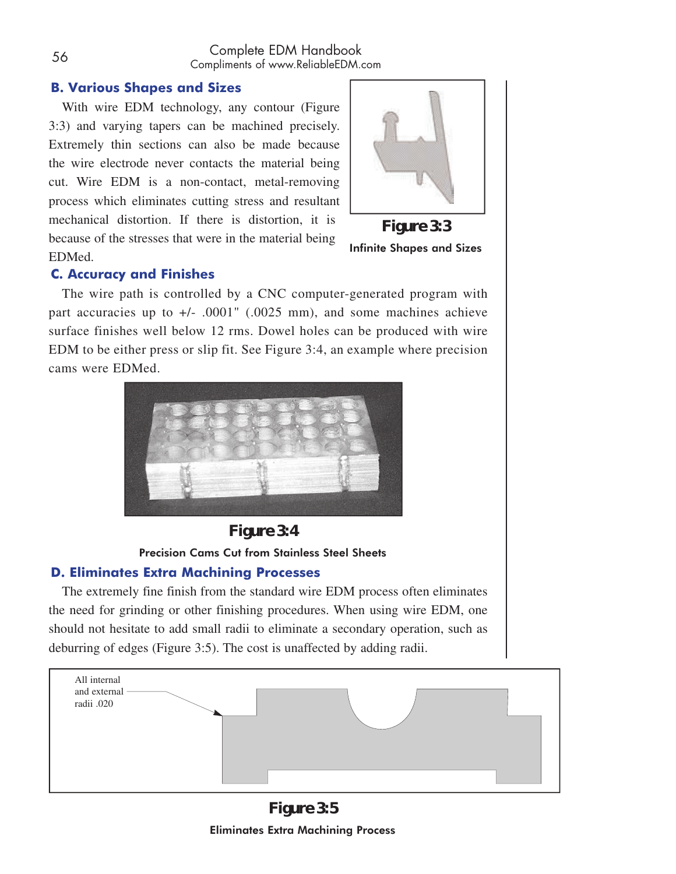### **B. Various Shapes and Sizes**

With wire EDM technology, any contour (Figure 3:3) and varying tapers can be machined precisely. Extremely thin sections can also be made because the wire electrode never contacts the material being cut. Wire EDM is a non-contact, metal-removing process which eliminates cutting stress and resultant mechanical distortion. If there is distortion, it is because of the stresses that were in the material being EDMed.



**Figure 3:3** Infinite Shapes and Sizes

#### **C. Accuracy and Finishes**

The wire path is controlled by a CNC computer-generated program with part accuracies up to +/- .0001" (.0025 mm), and some machines achieve surface finishes well below 12 rms. Dowel holes can be produced with wire EDM to be either press or slip fit. See Figure 3:4, an example where precision cams were EDMed.



**Figure 3:4** 

# Precision Cams Cut from Stainless Steel Sheets

#### **D. Eliminates Extra Machining Processes**

The extremely fine finish from the standard wire EDM process often eliminates the need for grinding or other finishing procedures. When using wire EDM, one should not hesitate to add small radii to eliminate a secondary operation, such as deburring of edges (Figure 3:5). The cost is unaffected by adding radii.



**Figure 3:5** Eliminates Extra Machining Process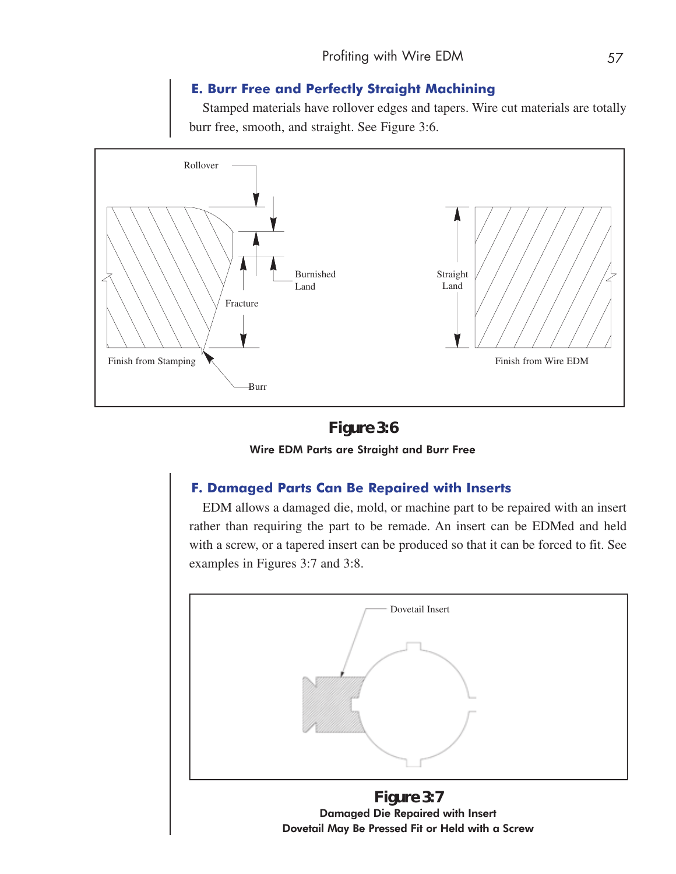#### **E. Burr Free and Perfectly Straight Machining**

Stamped materials have rollover edges and tapers. Wire cut materials are totally burr free, smooth, and straight. See Figure 3:6.



**Figure 3:6** Wire EDM Parts are Straight and Burr Free

#### **F. Damaged Parts Can Be Repaired with Inserts**

EDM allows a damaged die, mold, or machine part to be repaired with an insert rather than requiring the part to be remade. An insert can be EDMed and held with a screw, or a tapered insert can be produced so that it can be forced to fit. See examples in Figures 3:7 and 3:8.



**Figure 3:7** Damaged Die Repaired with Insert Dovetail May Be Pressed Fit or Held with a Screw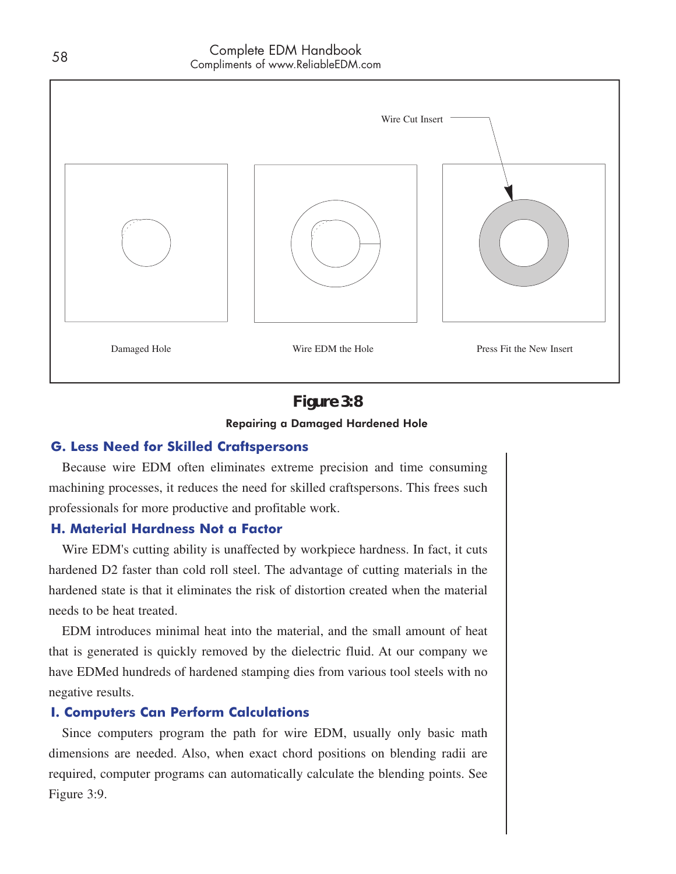

# **Figure 3:8**

#### Repairing a Damaged Hardened Hole

#### **G. Less Need for Skilled Craftspersons**

Because wire EDM often eliminates extreme precision and time consuming machining processes, it reduces the need for skilled craftspersons. This frees such professionals for more productive and profitable work.

#### **H. Material Hardness Not a Factor**

Wire EDM's cutting ability is unaffected by workpiece hardness. In fact, it cuts hardened D2 faster than cold roll steel. The advantage of cutting materials in the hardened state is that it eliminates the risk of distortion created when the material needs to be heat treated.

EDM introduces minimal heat into the material, and the small amount of heat that is generated is quickly removed by the dielectric fluid. At our company we have EDMed hundreds of hardened stamping dies from various tool steels with no negative results.

#### **I. Computers Can Perform Calculations**

Since computers program the path for wire EDM, usually only basic math dimensions are needed. Also, when exact chord positions on blending radii are required, computer programs can automatically calculate the blending points. See Figure 3:9.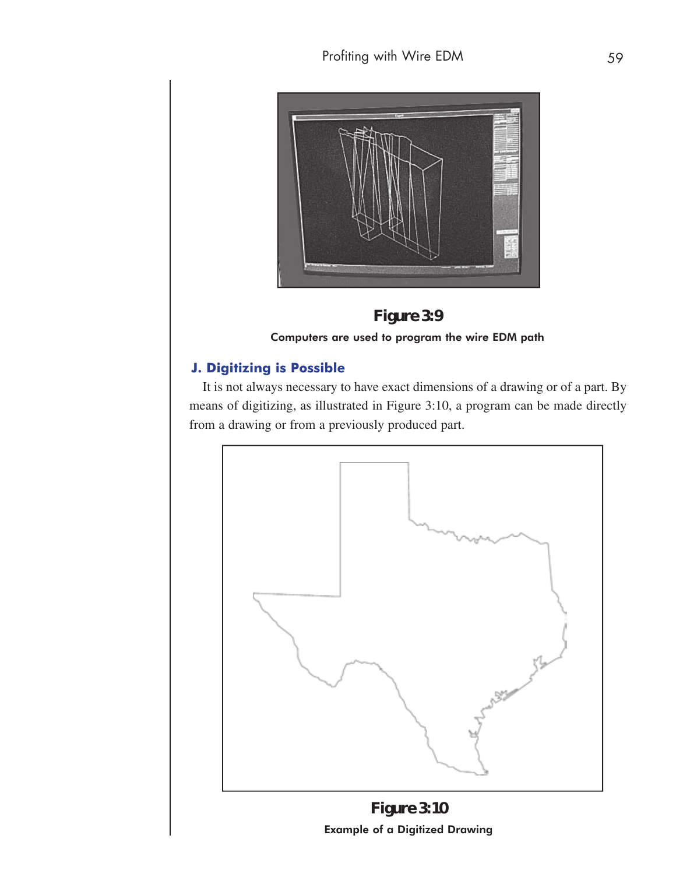



Computers are used to program the wire EDM path

# **J. Digitizing is Possible**

It is not always necessary to have exact dimensions of a drawing or of a part. By means of digitizing, as illustrated in Figure 3:10, a program can be made directly from a drawing or from a previously produced part.



Example of a Digitized Drawing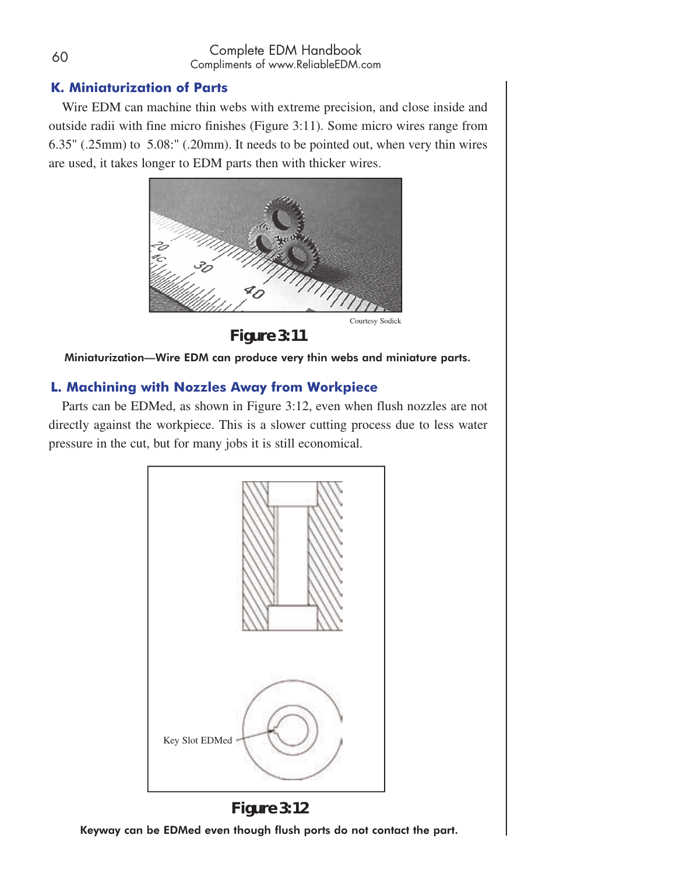# **K. Miniaturization of Parts**

Wire EDM can machine thin webs with extreme precision, and close inside and outside radii with fine micro finishes (Figure 3:11). Some micro wires range from 6.35" (.25mm) to 5.08:" (.20mm). It needs to be pointed out, when very thin wires are used, it takes longer to EDM parts then with thicker wires.



Courtesy Sodick

**Figure 3:11** 

Miniaturization—Wire EDM can produce very thin webs and miniature parts.

# **L. Machining with Nozzles Away from Workpiece**

Parts can be EDMed, as shown in Figure 3:12, even when flush nozzles are not directly against the workpiece. This is a slower cutting process due to less water pressure in the cut, but for many jobs it is still economical.





Keyway can be EDMed even though flush ports do not contact the part.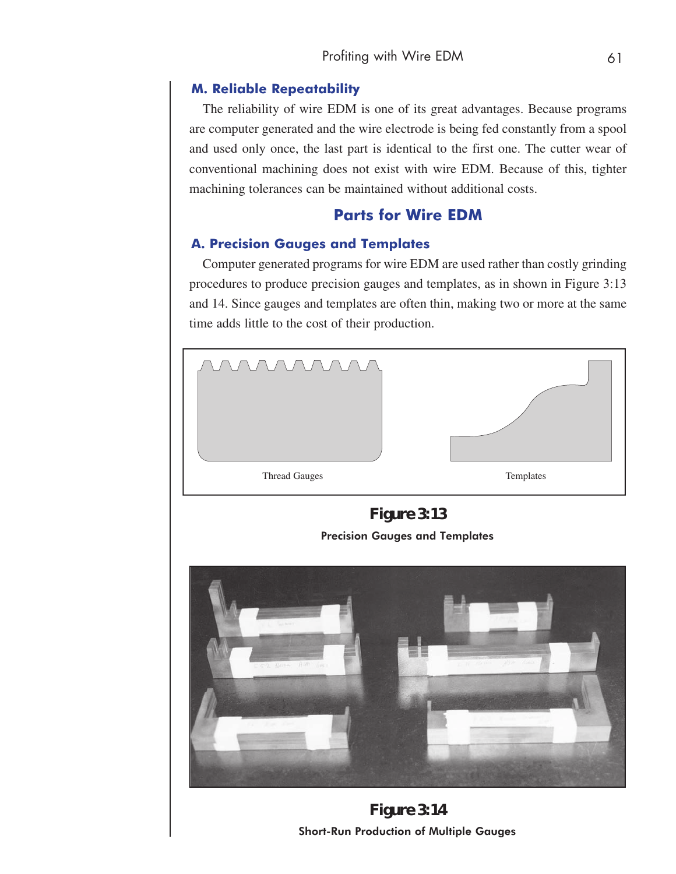#### **M. Reliable Repeatability**

The reliability of wire EDM is one of its great advantages. Because programs are computer generated and the wire electrode is being fed constantly from a spool and used only once, the last part is identical to the first one. The cutter wear of conventional machining does not exist with wire EDM. Because of this, tighter machining tolerances can be maintained without additional costs.

# **Parts for Wire EDM**

#### **A. Precision Gauges and Templates**

Computer generated programs for wire EDM are used rather than costly grinding procedures to produce precision gauges and templates, as in shown in Figure 3:13 and 14. Since gauges and templates are often thin, making two or more at the same time adds little to the cost of their production.



**Figure 3:13**  Precision Gauges and Templates



**Figure 3:14** Short-Run Production of Multiple Gauges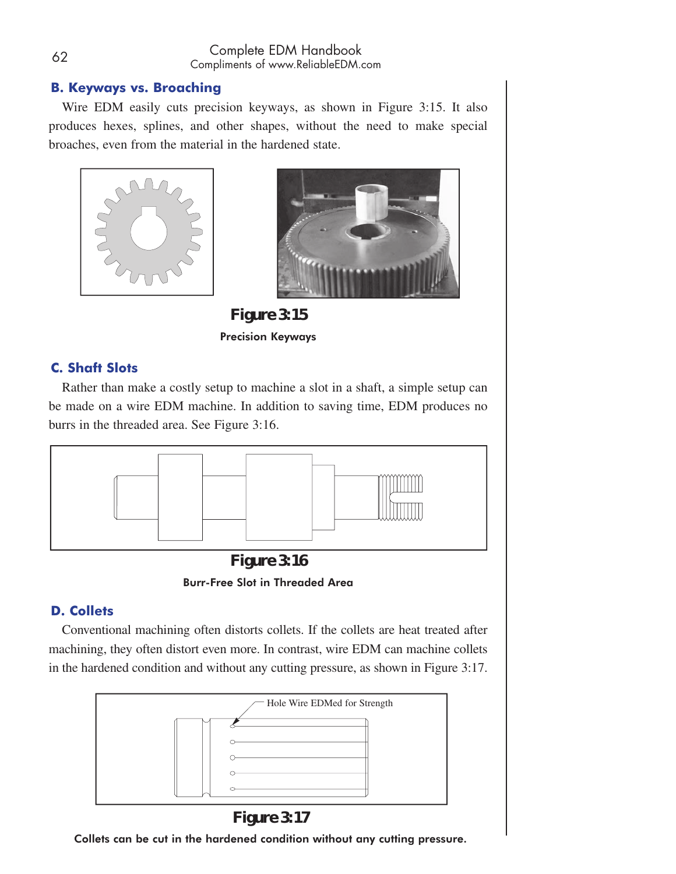# **B. Keyways vs. Broaching**

Wire EDM easily cuts precision keyways, as shown in Figure 3:15. It also produces hexes, splines, and other shapes, without the need to make special broaches, even from the material in the hardened state.





**Figure 3:15** Precision Keyways

# **C. Shaft Slots**

Rather than make a costly setup to machine a slot in a shaft, a simple setup can be made on a wire EDM machine. In addition to saving time, EDM produces no burrs in the threaded area. See Figure 3:16.



**Figure 3:16**  Burr-Free Slot in Threaded Area

# **D. Collets**

Conventional machining often distorts collets. If the collets are heat treated after machining, they often distort even more. In contrast, wire EDM can machine collets in the hardened condition and without any cutting pressure, as shown in Figure 3:17.



**Figure 3:17** 

Collets can be cut in the hardened condition without any cutting pressure.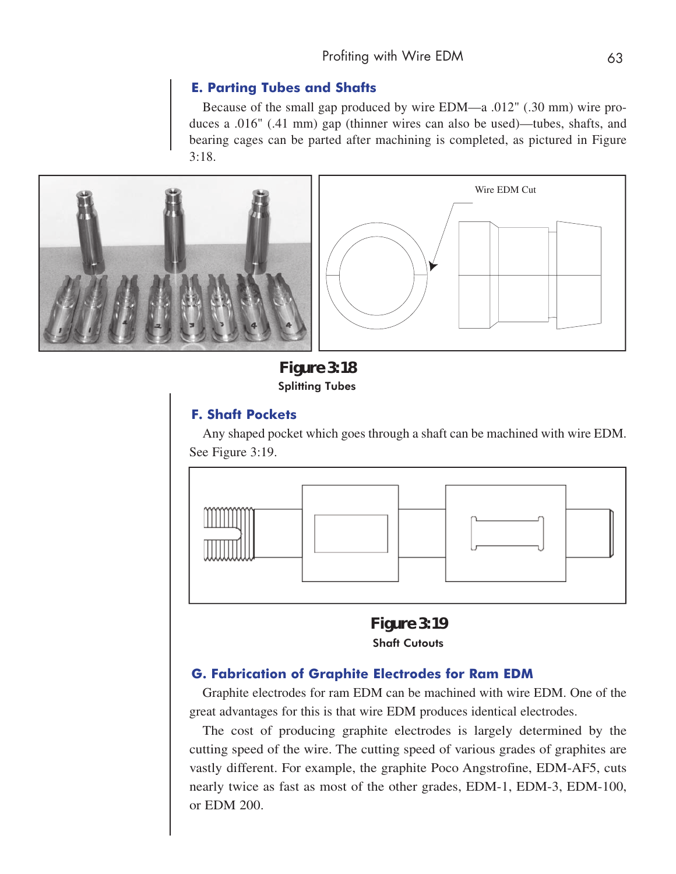#### **E. Parting Tubes and Shafts**

Because of the small gap produced by wire EDM—a .012" (.30 mm) wire produces a .016" (.41 mm) gap (thinner wires can also be used)—tubes, shafts, and bearing cages can be parted after machining is completed, as pictured in Figure 3:18.



**Figure 3:18**  Splitting Tubes

#### **F. Shaft Pockets**

Any shaped pocket which goes through a shaft can be machined with wire EDM. See Figure 3:19.



**Figure 3:19**  Shaft Cutouts

#### **G. Fabrication of Graphite Electrodes for Ram EDM**

Graphite electrodes for ram EDM can be machined with wire EDM. One of the great advantages for this is that wire EDM produces identical electrodes.

The cost of producing graphite electrodes is largely determined by the cutting speed of the wire. The cutting speed of various grades of graphites are vastly different. For example, the graphite Poco Angstrofine, EDM-AF5, cuts nearly twice as fast as most of the other grades, EDM-1, EDM-3, EDM-100, or EDM 200.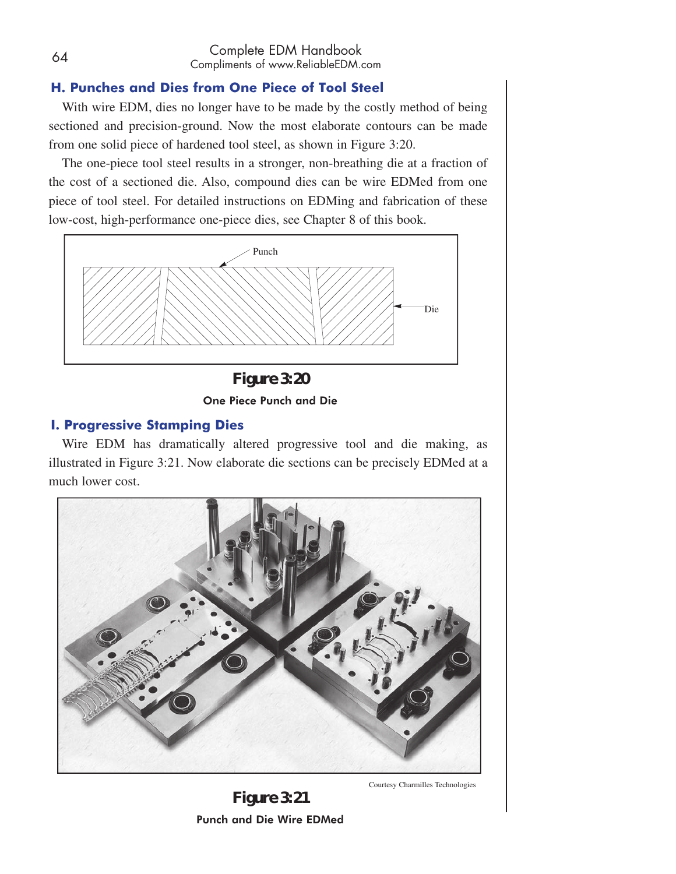### **H. Punches and Dies from One Piece of Tool Steel**

With wire EDM, dies no longer have to be made by the costly method of being sectioned and precision-ground. Now the most elaborate contours can be made from one solid piece of hardened tool steel, as shown in Figure 3:20.

The one-piece tool steel results in a stronger, non-breathing die at a fraction of the cost of a sectioned die. Also, compound dies can be wire EDMed from one piece of tool steel. For detailed instructions on EDMing and fabrication of these low-cost, high-performance one-piece dies, see Chapter 8 of this book.



**Figure 3:20**  One Piece Punch and Die

#### **I. Progressive Stamping Dies**

Wire EDM has dramatically altered progressive tool and die making, as illustrated in Figure 3:21. Now elaborate die sections can be precisely EDMed at a much lower cost.



**Figure 3:21**  Punch and Die Wire EDMed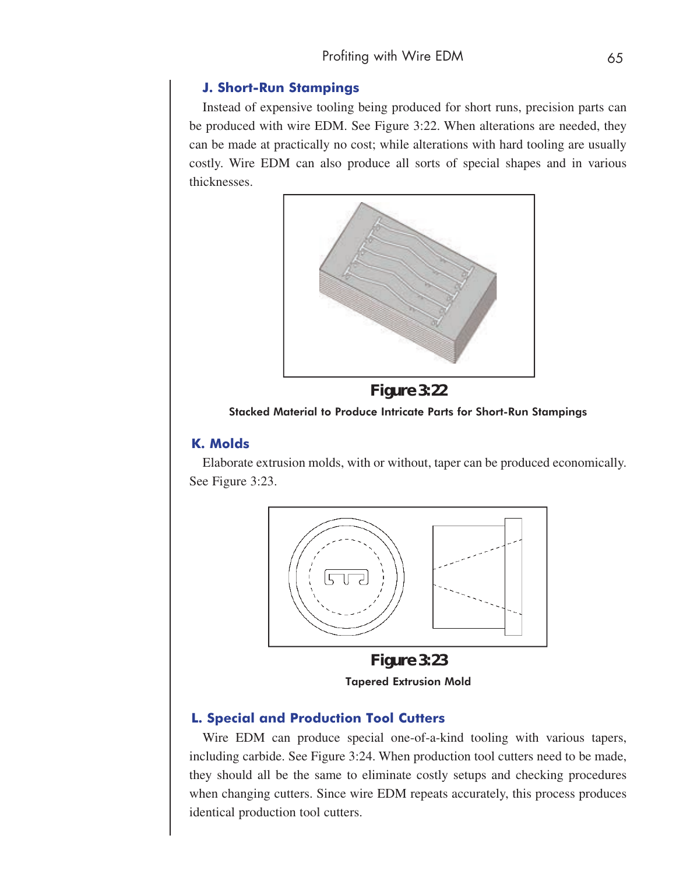#### **J. Short-Run Stampings**

Instead of expensive tooling being produced for short runs, precision parts can be produced with wire EDM. See Figure 3:22. When alterations are needed, they can be made at practically no cost; while alterations with hard tooling are usually costly. Wire EDM can also produce all sorts of special shapes and in various thicknesses.





#### Stacked Material to Produce Intricate Parts for Short-Run Stampings

### **K. Molds**

Elaborate extrusion molds, with or without, taper can be produced economically. See Figure 3:23.



**Figure 3:23**  Tapered Extrusion Mold

#### **L. Special and Production Tool Cutters**

Wire EDM can produce special one-of-a-kind tooling with various tapers, including carbide. See Figure 3:24. When production tool cutters need to be made, they should all be the same to eliminate costly setups and checking procedures when changing cutters. Since wire EDM repeats accurately, this process produces identical production tool cutters.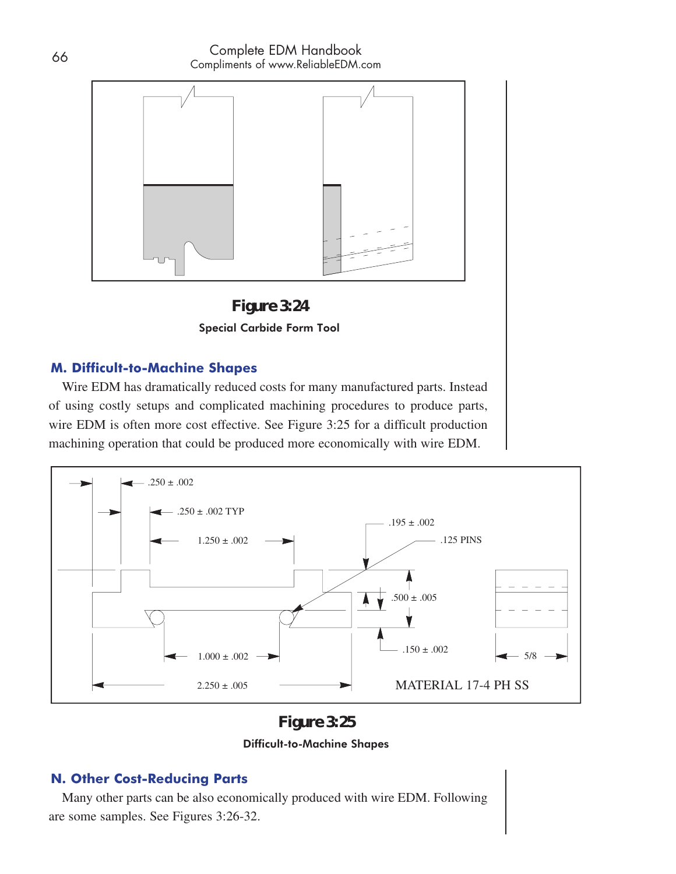



### **M. Difficult-to-Machine Shapes**

Wire EDM has dramatically reduced costs for many manufactured parts. Instead of using costly setups and complicated machining procedures to produce parts, wire EDM is often more cost effective. See Figure 3:25 for a difficult production machining operation that could be produced more economically with wire EDM.



**Figure 3:25** 

#### Difficult-to-Machine Shapes

# **N. Other Cost-Reducing Parts**

Many other parts can be also economically produced with wire EDM. Following are some samples. See Figures 3:26-32.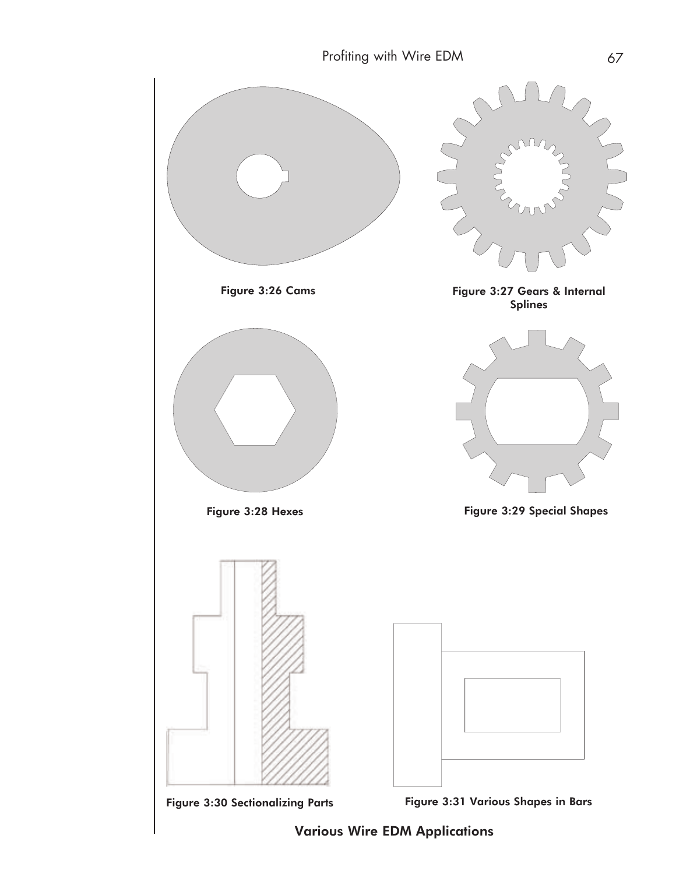

Various Wire EDM Applications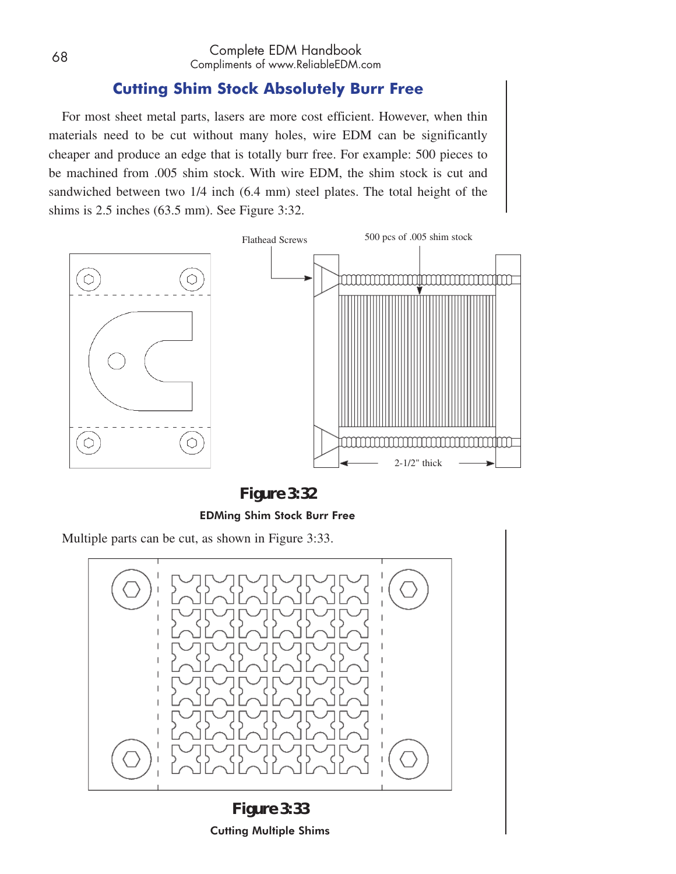# **Cutting Shim Stock Absolutely Burr Free**

For most sheet metal parts, lasers are more cost efficient. However, when thin materials need to be cut without many holes, wire EDM can be significantly cheaper and produce an edge that is totally burr free. For example: 500 pieces to be machined from .005 shim stock. With wire EDM, the shim stock is cut and sandwiched between two 1/4 inch (6.4 mm) steel plates. The total height of the shims is 2.5 inches (63.5 mm). See Figure 3:32.



**Figure 3:32**  EDMing Shim Stock Burr Free

Multiple parts can be cut, as shown in Figure 3:33.



**Figure 3:33**  Cutting Multiple Shims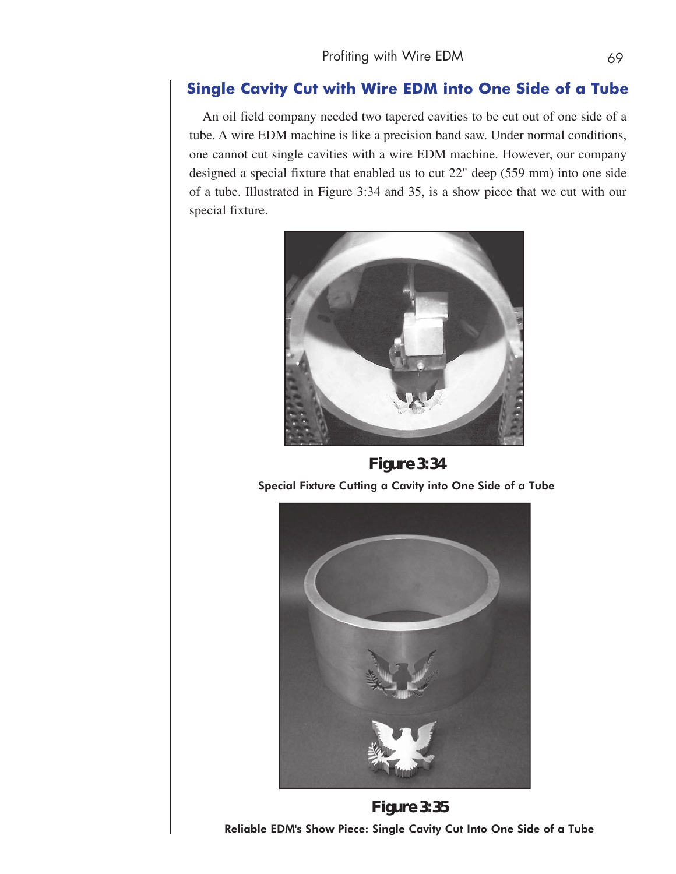# **Single Cavity Cut with Wire EDM into One Side of a Tube**

An oil field company needed two tapered cavities to be cut out of one side of a tube. A wire EDM machine is like a precision band saw. Under normal conditions, one cannot cut single cavities with a wire EDM machine. However, our company designed a special fixture that enabled us to cut 22" deep (559 mm) into one side of a tube. Illustrated in Figure 3:34 and 35, is a show piece that we cut with our special fixture.



**Figure 3:34** Special Fixture Cutting a Cavity into One Side of a Tube



**Figure 3:35**  Reliable EDM's Show Piece: Single Cavity Cut Into One Side of a Tube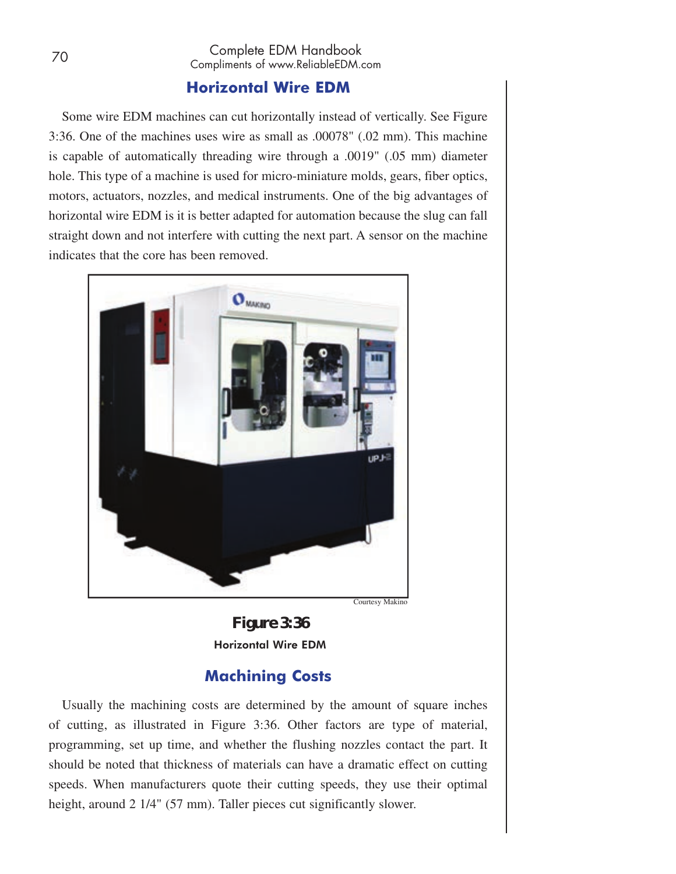# **Horizontal Wire EDM**

Some wire EDM machines can cut horizontally instead of vertically. See Figure 3:36. One of the machines uses wire as small as .00078" (.02 mm). This machine is capable of automatically threading wire through a .0019" (.05 mm) diameter hole. This type of a machine is used for micro-miniature molds, gears, fiber optics, motors, actuators, nozzles, and medical instruments. One of the big advantages of horizontal wire EDM is it is better adapted for automation because the slug can fall straight down and not interfere with cutting the next part. A sensor on the machine indicates that the core has been removed.



**Figure 3:36**  Horizontal Wire EDM

# **Machining Costs**

Usually the machining costs are determined by the amount of square inches of cutting, as illustrated in Figure 3:36. Other factors are type of material, programming, set up time, and whether the flushing nozzles contact the part. It should be noted that thickness of materials can have a dramatic effect on cutting speeds. When manufacturers quote their cutting speeds, they use their optimal height, around 2 1/4" (57 mm). Taller pieces cut significantly slower.